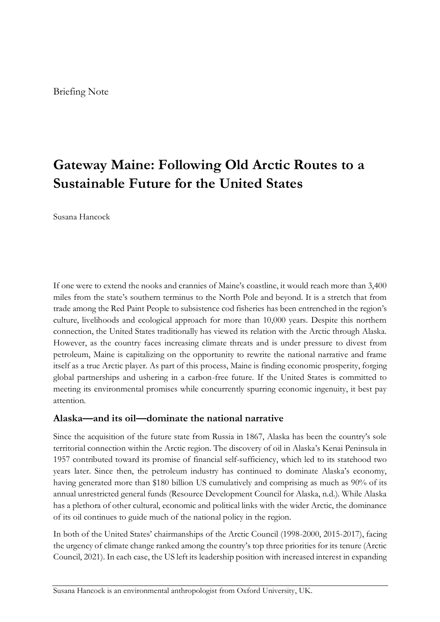# **Gateway Maine: Following Old Arctic Routes to a Sustainable Future for the United States**

Susana Hancock

If one were to extend the nooks and crannies of Maine's coastline, it would reach more than 3,400 miles from the state's southern terminus to the North Pole and beyond. It is a stretch that from trade among the Red Paint People to subsistence cod fisheries has been entrenched in the region's culture, livelihoods and ecological approach for more than 10,000 years. Despite this northern connection, the United States traditionally has viewed its relation with the Arctic through Alaska. However, as the country faces increasing climate threats and is under pressure to divest from petroleum, Maine is capitalizing on the opportunity to rewrite the national narrative and frame itself as a true Arctic player. As part of this process, Maine is finding economic prosperity, forging global partnerships and ushering in a carbon-free future. If the United States is committed to meeting its environmental promises while concurrently spurring economic ingenuity, it best pay attention.

# **Alaska—and its oil—dominate the national narrative**

Since the acquisition of the future state from Russia in 1867, Alaska has been the country's sole territorial connection within the Arctic region. The discovery of oil in Alaska's Kenai Peninsula in 1957 contributed toward its promise of financial self-sufficiency, which led to its statehood two years later. Since then, the petroleum industry has continued to dominate Alaska's economy, having generated more than \$180 billion US cumulatively and comprising as much as 90% of its annual unrestricted general funds (Resource Development Council for Alaska, n.d.). While Alaska has a plethora of other cultural, economic and political links with the wider Arctic, the dominance of its oil continues to guide much of the national policy in the region.

In both of the United States' chairmanships of the Arctic Council (1998-2000, 2015-2017), facing the urgency of climate change ranked among the country's top three priorities for its tenure (Arctic Council, 2021). In each case, the US left its leadership position with increased interest in expanding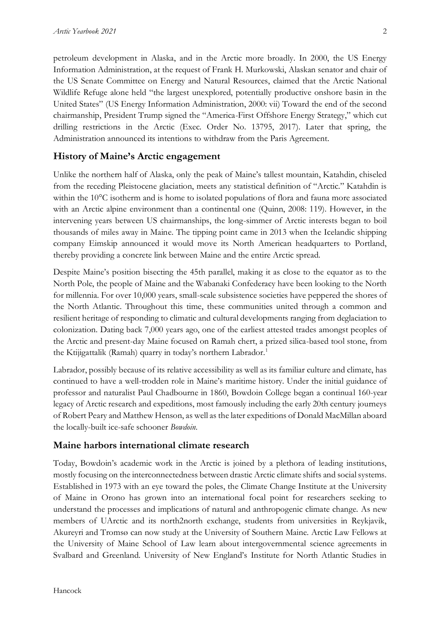petroleum development in Alaska, and in the Arctic more broadly. In 2000, the US Energy Information Administration, at the request of Frank H. Murkowski, Alaskan senator and chair of the US Senate Committee on Energy and Natural Resources, claimed that the Arctic National Wildlife Refuge alone held "the largest unexplored, potentially productive onshore basin in the United States" (US Energy Information Administration, 2000: vii) Toward the end of the second chairmanship, President Trump signed the "America-First Offshore Energy Strategy," which cut drilling restrictions in the Arctic (Exec. Order No. 13795, 2017). Later that spring, the Administration announced its intentions to withdraw from the Paris Agreement.

## **History of Maine's Arctic engagement**

Unlike the northern half of Alaska, only the peak of Maine's tallest mountain, Katahdin, chiseled from the receding Pleistocene glaciation, meets any statistical definition of "Arctic." Katahdin is within the 10°C isotherm and is home to isolated populations of flora and fauna more associated with an Arctic alpine environment than a continental one (Quinn, 2008: 119). However, in the intervening years between US chairmanships, the long-simmer of Arctic interests began to boil thousands of miles away in Maine. The tipping point came in 2013 when the Icelandic shipping company Eimskip announced it would move its North American headquarters to Portland, thereby providing a concrete link between Maine and the entire Arctic spread.

Despite Maine's position bisecting the 45th parallel, making it as close to the equator as to the North Pole, the people of Maine and the Wabanaki Confederacy have been looking to the North for millennia. For over 10,000 years, small-scale subsistence societies have peppered the shores of the North Atlantic. Throughout this time, these communities united through a common and resilient heritage of responding to climatic and cultural developments ranging from deglaciation to colonization. Dating back 7,000 years ago, one of the earliest attested trades amongst peoples of the Arctic and present-day Maine focused on Ramah chert, a prized silica-based tool stone, from the Ktijigattalik (Ramah) quarry in today's northern Labrador.<sup>1</sup>

Labrador, possibly because of its relative accessibility as well as its familiar culture and climate, has continued to have a well-trodden role in Maine's maritime history. Under the initial guidance of professor and naturalist Paul Chadbourne in 1860, Bowdoin College began a continual 160-year legacy of Arctic research and expeditions, most famously including the early 20th century journeys of Robert Peary and Matthew Henson, as well as the later expeditions of Donald MacMillan aboard the locally-built ice-safe schooner *Bowdoin*.

## **Maine harbors international climate research**

Today, Bowdoin's academic work in the Arctic is joined by a plethora of leading institutions, mostly focusing on the interconnectedness between drastic Arctic climate shifts and social systems. Established in 1973 with an eye toward the poles, the Climate Change Institute at the University of Maine in Orono has grown into an international focal point for researchers seeking to understand the processes and implications of natural and anthropogenic climate change. As new members of UArctic and its north2north exchange, students from universities in Reykjavik, Akureyri and Tromsø can now study at the University of Southern Maine. Arctic Law Fellows at the University of Maine School of Law learn about intergovernmental science agreements in Svalbard and Greenland. University of New England's Institute for North Atlantic Studies in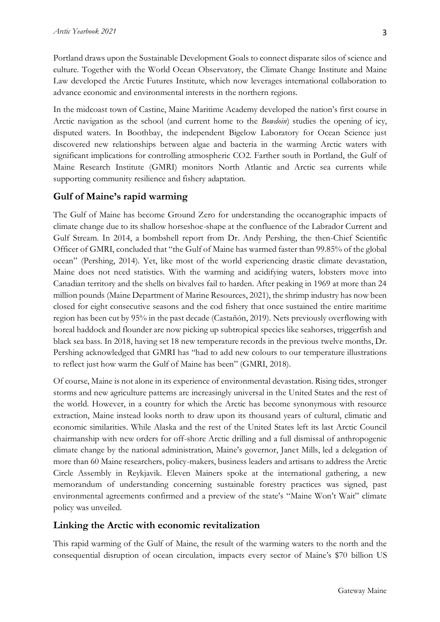Portland draws upon the Sustainable Development Goals to connect disparate silos of science and culture. Together with the World Ocean Observatory, the Climate Change Institute and Maine Law developed the Arctic Futures Institute, which now leverages international collaboration to advance economic and environmental interests in the northern regions.

In the midcoast town of Castine, Maine Maritime Academy developed the nation's first course in Arctic navigation as the school (and current home to the *Bowdoin*) studies the opening of icy, disputed waters. In Boothbay, the independent Bigelow Laboratory for Ocean Science just discovered new relationships between algae and bacteria in the warming Arctic waters with significant implications for controlling atmospheric CO2. Farther south in Portland, the Gulf of Maine Research Institute (GMRI) monitors North Atlantic and Arctic sea currents while supporting community resilience and fishery adaptation.

# **Gulf of Maine's rapid warming**

The Gulf of Maine has become Ground Zero for understanding the oceanographic impacts of climate change due to its shallow horseshoe-shape at the confluence of the Labrador Current and Gulf Stream. In 2014, a bombshell report from Dr. Andy Pershing, the then-Chief Scientific Officer of GMRI, concluded that "the Gulf of Maine has warmed faster than 99.85% of the global ocean" (Pershing, 2014). Yet, like most of the world experiencing drastic climate devastation, Maine does not need statistics. With the warming and acidifying waters, lobsters move into Canadian territory and the shells on bivalves fail to harden. After peaking in 1969 at more than 24 million pounds (Maine Department of Marine Resources, 2021), the shrimp industry has now been closed for eight consecutive seasons and the cod fishery that once sustained the entire maritime region has been cut by 95% in the past decade (Castañón, 2019). Nets previously overflowing with boreal haddock and flounder are now picking up subtropical species like seahorses, triggerfish and black sea bass. In 2018, having set 18 new temperature records in the previous twelve months, Dr. Pershing acknowledged that GMRI has "had to add new colours to our temperature illustrations to reflect just how warm the Gulf of Maine has been" (GMRI, 2018).

Of course, Maine is not alone in its experience of environmental devastation. Rising tides, stronger storms and new agriculture patterns are increasingly universal in the United States and the rest of the world. However, in a country for which the Arctic has become synonymous with resource extraction, Maine instead looks north to draw upon its thousand years of cultural, climatic and economic similarities. While Alaska and the rest of the United States left its last Arctic Council chairmanship with new orders for off-shore Arctic drilling and a full dismissal of anthropogenic climate change by the national administration, Maine's governor, Janet Mills, led a delegation of more than 60 Maine researchers, policy-makers, business leaders and artisans to address the Arctic Circle Assembly in Reykjavik. Eleven Mainers spoke at the international gathering, a new memorandum of understanding concerning sustainable forestry practices was signed, past environmental agreements confirmed and a preview of the state's "Maine Won't Wait" climate policy was unveiled.

# **Linking the Arctic with economic revitalization**

This rapid warming of the Gulf of Maine, the result of the warming waters to the north and the consequential disruption of ocean circulation, impacts every sector of Maine's \$70 billion US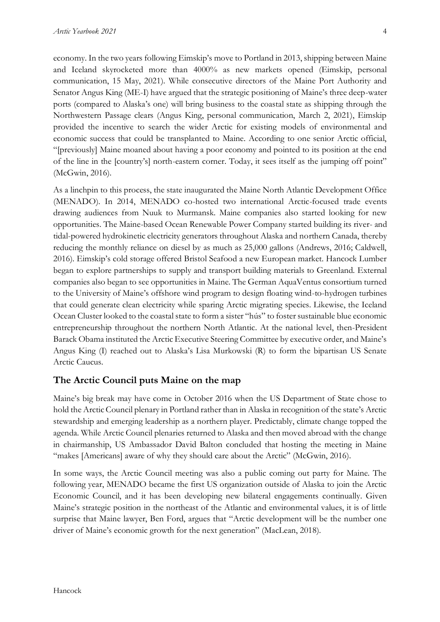economy. In the two years following Eimskip's move to Portland in 2013, shipping between Maine and Iceland skyrocketed more than 4000% as new markets opened (Eimskip, personal communication, 15 May, 2021). While consecutive directors of the Maine Port Authority and Senator Angus King (ME-I) have argued that the strategic positioning of Maine's three deep-water ports (compared to Alaska's one) will bring business to the coastal state as shipping through the Northwestern Passage clears (Angus King, personal communication, March 2, 2021), Eimskip provided the incentive to search the wider Arctic for existing models of environmental and economic success that could be transplanted to Maine. According to one senior Arctic official, "[previously] Maine moaned about having a poor economy and pointed to its position at the end of the line in the [country's] north-eastern corner. Today, it sees itself as the jumping off point" (McGwin, 2016).

As a linchpin to this process, the state inaugurated the Maine North Atlantic Development Office (MENADO). In 2014, MENADO co-hosted two international Arctic-focused trade events drawing audiences from Nuuk to Murmansk. Maine companies also started looking for new opportunities. The Maine-based Ocean Renewable Power Company started building its river- and tidal-powered hydrokinetic electricity generators throughout Alaska and northern Canada, thereby reducing the monthly reliance on diesel by as much as 25,000 gallons (Andrews, 2016; Caldwell, 2016). Eimskip's cold storage offered Bristol Seafood a new European market. Hancock Lumber began to explore partnerships to supply and transport building materials to Greenland. External companies also began to see opportunities in Maine. The German AquaVentus consortium turned to the University of Maine's offshore wind program to design floating wind-to-hydrogen turbines that could generate clean electricity while sparing Arctic migrating species. Likewise, the Iceland Ocean Cluster looked to the coastal state to form a sister "hús" to foster sustainable blue economic entrepreneurship throughout the northern North Atlantic. At the national level, then-President Barack Obama instituted the Arctic Executive Steering Committee by executive order, and Maine's Angus King (I) reached out to Alaska's Lisa Murkowski (R) to form the bipartisan US Senate Arctic Caucus.

#### **The Arctic Council puts Maine on the map**

Maine's big break may have come in October 2016 when the US Department of State chose to hold the Arctic Council plenary in Portland rather than in Alaska in recognition of the state's Arctic stewardship and emerging leadership as a northern player. Predictably, climate change topped the agenda. While Arctic Council plenaries returned to Alaska and then moved abroad with the change in chairmanship, US Ambassador David Balton concluded that hosting the meeting in Maine "makes [Americans] aware of why they should care about the Arctic" (McGwin, 2016).

In some ways, the Arctic Council meeting was also a public coming out party for Maine. The following year, MENADO became the first US organization outside of Alaska to join the Arctic Economic Council, and it has been developing new bilateral engagements continually. Given Maine's strategic position in the northeast of the Atlantic and environmental values, it is of little surprise that Maine lawyer, Ben Ford, argues that "Arctic development will be the number one driver of Maine's economic growth for the next generation" (MacLean, 2018).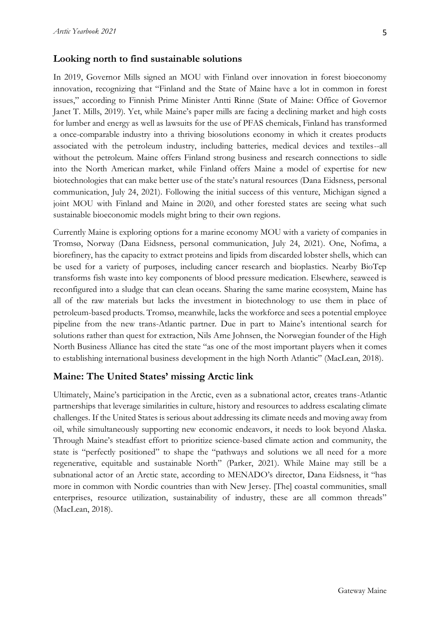## **Looking north to find sustainable solutions**

In 2019, Governor Mills signed an MOU with Finland over innovation in forest bioeconomy innovation, recognizing that "Finland and the State of Maine have a lot in common in forest issues," according to Finnish Prime Minister Antti Rinne (State of Maine: Office of Governor Janet T. Mills, 2019). Yet, while Maine's paper mills are facing a declining market and high costs for lumber and energy as well as lawsuits for the use of PFAS chemicals, Finland has transformed a once-comparable industry into a thriving biosolutions economy in which it creates products associated with the petroleum industry, including batteries, medical devices and textiles--all without the petroleum. Maine offers Finland strong business and research connections to sidle into the North American market, while Finland offers Maine a model of expertise for new biotechnologies that can make better use of the state's natural resources (Dana Eidsness, personal communication, July 24, 2021). Following the initial success of this venture, Michigan signed a joint MOU with Finland and Maine in 2020, and other forested states are seeing what such sustainable bioeconomic models might bring to their own regions.

Currently Maine is exploring options for a marine economy MOU with a variety of companies in Tromsø, Norway (Dana Eidsness, personal communication, July 24, 2021). One, Nofima, a biorefinery, has the capacity to extract proteins and lipids from discarded lobster shells, which can be used for a variety of purposes, including cancer research and bioplastics. Nearby BioTep transforms fish waste into key components of blood pressure medication. Elsewhere, seaweed is reconfigured into a sludge that can clean oceans. Sharing the same marine ecosystem, Maine has all of the raw materials but lacks the investment in biotechnology to use them in place of petroleum-based products. Tromsø, meanwhile, lacks the workforce and sees a potential employee pipeline from the new trans-Atlantic partner. Due in part to Maine's intentional search for solutions rather than quest for extraction, Nils Arne Johnsen, the Norwegian founder of the High North Business Alliance has cited the state "as one of the most important players when it comes to establishing international business development in the high North Atlantic" (MacLean, 2018).

# **Maine: The United States' missing Arctic link**

Ultimately, Maine's participation in the Arctic, even as a subnational actor, creates trans-Atlantic partnerships that leverage similarities in culture, history and resources to address escalating climate challenges. If the United States is serious about addressing its climate needs and moving away from oil, while simultaneously supporting new economic endeavors, it needs to look beyond Alaska. Through Maine's steadfast effort to prioritize science-based climate action and community, the state is "perfectly positioned" to shape the "pathways and solutions we all need for a more regenerative, equitable and sustainable North" (Parker, 2021). While Maine may still be a subnational actor of an Arctic state, according to MENADO's director, Dana Eidsness, it "has more in common with Nordic countries than with New Jersey. [The] coastal communities, small enterprises, resource utilization, sustainability of industry, these are all common threads" (MacLean, 2018).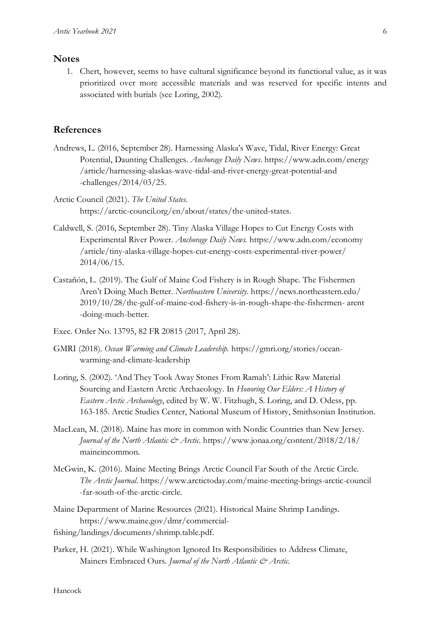## **Notes**

1. Chert, however, seems to have cultural significance beyond its functional value, as it was prioritized over more accessible materials and was reserved for specific intents and associated with burials (see Loring, 2002).

#### **References**

- Andrews, L. (2016, September 28). Harnessing Alaska's Wave, Tidal, River Energy: Great Potential, Daunting Challenges. *Anchorage Daily News*. https://www.adn.com/energy /article/harnessing-alaskas-wave-tidal-and-river-energy-great-potential-and -challenges/2014/03/25.
- Arctic Council (2021). *The United States*. https://arctic-council.org/en/about/states/the-united-states.
- Caldwell, S. (2016, September 28). Tiny Alaska Village Hopes to Cut Energy Costs with Experimental River Power. *Anchorage Daily News.* https://www.adn.com/economy /article/tiny-alaska-village-hopes-cut-energy-costs-experimental-river-power/ 2014/06/15.
- Castañón, L. (2019). The Gulf of Maine Cod Fishery is in Rough Shape. The Fishermen Aren't Doing Much Better. *Northeastern University*. https://news.northeastern.edu/ 2019/10/28/the-gulf-of-maine-cod-fishery-is-in-rough-shape-the-fishermen- arent -doing-much-better.
- Exec. Order No. 13795, 82 FR 20815 (2017, April 28).
- GMRI (2018). *Ocean Warming and Climate Leadership.* https://gmri.org/stories/oceanwarming-and-climate-leadership
- Loring, S. (2002). 'And They Took Away Stones From Ramah': Lithic Raw Material Sourcing and Eastern Arctic Archaeology. In *Honoring Our Elders: A History of Eastern Arctic Archaeology*, edited by W. W. Fitzhugh, S. Loring, and D. Odess, pp. 163-185. Arctic Studies Center, National Museum of History, Smithsonian Institution.
- MacLean, M. (2018). Maine has more in common with Nordic Countries than New Jersey. *Journal of the North Atlantic & Arctic*. https://www.jonaa.org/content/2018/2/18/ maineincommon.
- McGwin, K. (2016). Maine Meeting Brings Arctic Council Far South of the Arctic Circle. *The Arctic Journal*. https://www.arctictoday.com/maine-meeting-brings-arctic-council -far-south-of-the-arctic-circle.
- Maine Department of Marine Resources (2021). Historical Maine Shrimp Landings. https://www.maine.gov/dmr/commercial-
- fishing/landings/documents/shrimp.table.pdf.
- Parker, H. (2021). While Washington Ignored Its Responsibilities to Address Climate, Mainers Embraced Ours. *Journal of the North Atlantic & Arctic*.